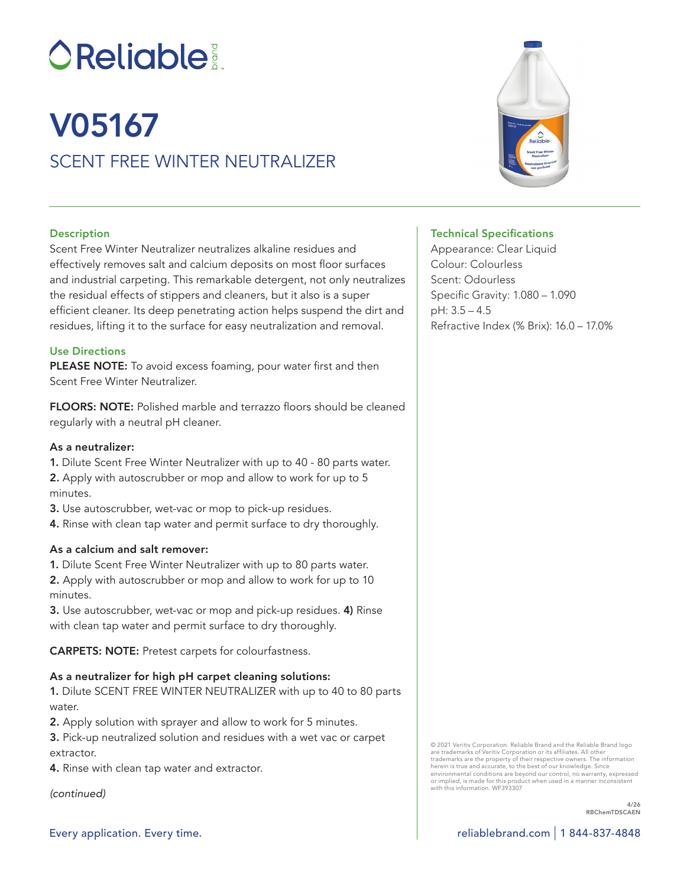# **OReliable:**

# SCENT FREE WINTER NEUTRALIZER V05167

# **Description**

Scent Free Winter Neutralizer neutralizes alkaline residues and effectively removes salt and calcium deposits on most floor surfaces and industrial carpeting. This remarkable detergent, not only neutralizes the residual effects of stippers and cleaners, but it also is a super efficient cleaner. Its deep penetrating action helps suspend the dirt and residues, lifting it to the surface for easy neutralization and removal.

#### Use Directions

PLEASE NOTE: To avoid excess foaming, pour water first and then Scent Free Winter Neutralizer.

FLOORS: NOTE: Polished marble and terrazzo floors should be cleaned regularly with a neutral pH cleaner.

#### As a neutralizer:

1. Dilute Scent Free Winter Neutralizer with up to 40 - 80 parts water. 2. Apply with autoscrubber or mop and allow to work for up to 5 minutes.

- 3. Use autoscrubber, wet-vac or mop to pick-up residues.
- 4. Rinse with clean tap water and permit surface to dry thoroughly.

# As a calcium and salt remover:

1. Dilute Scent Free Winter Neutralizer with up to 80 parts water.

2. Apply with autoscrubber or mop and allow to work for up to 10 minutes.

3. Use autoscrubber, wet-vac or mop and pick-up residues. 4) Rinse with clean tap water and permit surface to dry thoroughly.

CARPETS: NOTE: Pretest carpets for colourfastness.

# As a neutralizer for high pH carpet cleaning solutions:

1. Dilute SCENT FREE WINTER NEUTRALIZER with up to 40 to 80 parts water

2. Apply solution with sprayer and allow to work for 5 minutes.

3. Pick-up neutralized solution and residues with a wet vac or carpet extractor.

4. Rinse with clean tap water and extractor.

*(continued)*

#### Technical Specifications

Appearance: Clear Liquid Colour: Colourless Scent: Odourless Specific Gravity: 1.080 – 1.090 pH: 3.5 – 4.5 Refractive Index (% Brix): 16.0 – 17.0%

© 2021 Veritiv Corporation. Reliable Brand and the Reliable Brand logo are trademarks of Veritiv Corporation or its affiliates. All other trademarks are the property of their respective owners. The information herein is true and accurate, to the best of our knowledge. Since environmental conditions are beyond our control, no warranty, expressed or implied, is made for this product when used in a manner inconsistent with this information. WF393307

> 4/26 RBChemTDSCAEN